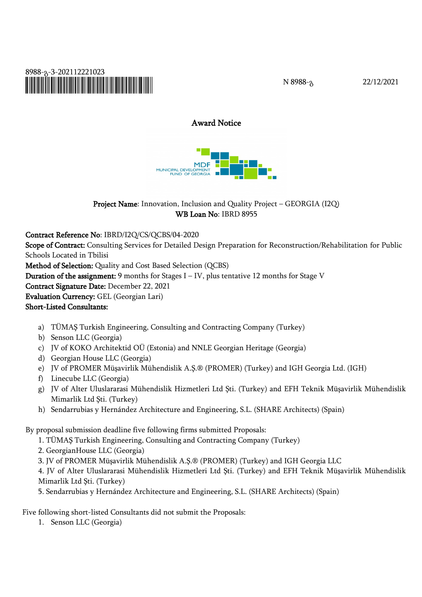

N 8988-გ 22/12/2021

# **Award Notice**

**MDF** MUNICIPAL DEVELOPMENT

**Project Name**: Innovation, Inclusion and Quality Project – GEORGIA (I2Q) **WB Loan No**: IBRD 8955

**Contract Reference No**: IBRD/I2Q/CS/QCBS/04-2020

**Scope of Contract:** Consulting Services for Detailed Design Preparation for Reconstruction/Rehabilitation for Public Schools Located in Tbilisi

**Method of Selection:** Quality and Cost Based Selection (QCBS)

**Duration of the assignment:** 9 months for Stages I – IV, plus tentative 12 months for Stage V

**Contract Signature Date:** December 22, 2021

**Evaluation Currency:** GEL (Georgian Lari)

#### **Short-Listed Consultants:**

- a) TÜMAŞ Turkish Engineering, Consulting and Contracting Company (Turkey)
- b) Senson LLC (Georgia)
- c) JV of KOKO Architektid OÜ (Estonia) and NNLE Georgian Heritage (Georgia)
- d) Georgian House LLC (Georgia)
- e) JV of PROMER Müşavirlik Mühendislik A.Ş.® (PROMER) (Turkey) and IGH Georgia Ltd. (IGH)
- f) Linecube LLC (Georgia)
- g) JV of Alter Uluslararasi Mühendislik Hizmetleri Ltd Şti. (Turkey) and EFH Teknik Müşavirlik Mühendislik Mimarlik Ltd Şti. (Turkey)
- h) Sendarrubias y Hernández Architecture and Engineering, S.L. (SHARE Architects) (Spain)

By proposal submission deadline five following firms submitted Proposals:

- 1. TÜMAŞ Turkish Engineering, Consulting and Contracting Company (Turkey)
- 2. GeorgianHouse LLC (Georgia)

3. JV of PROMER Müşavirlik Mühendislik A.Ş.® (PROMER) (Turkey) and IGH Georgia LLC

4. JV of Alter Uluslararasi Mühendislik Hizmetleri Ltd Şti. (Turkey) and EFH Teknik Müşavirlik Mühendislik Mimarlik Ltd Şti. (Turkey)

5. Sendarrubias y Hernández Architecture and Engineering, S.L. (SHARE Architects) (Spain)

Five following short-listed Consultants did not submit the Proposals:

1. Senson LLC (Georgia)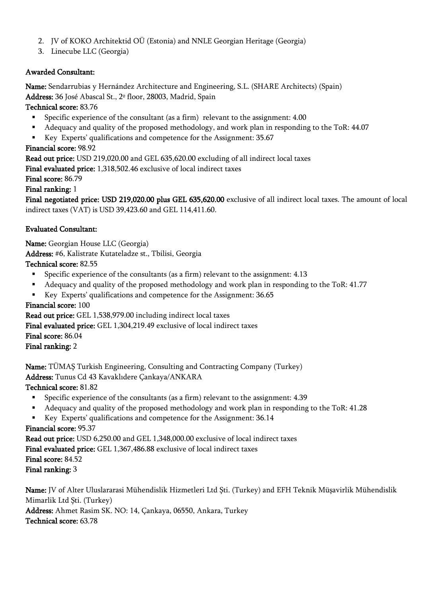- 2. JV of KOKO Architektid OÜ (Estonia) and NNLE Georgian Heritage (Georgia)
- 3. Linecube LLC (Georgia)

### **Awarded Consultant:**

**Name:** Sendarrubias y Hernández Architecture and Engineering, S.L. (SHARE Architects) (Spain)

**Address:** 36 José Abascal St., 2º floor, 28003, Madrid, Spain

**Technical score:** 83.76

- Specific experience of the consultant (as a firm) relevant to the assignment: 4.00
- Adequacy and quality of the proposed methodology, and work plan in responding to the ToR: 44.07
- Key Experts' qualifications and competence for the Assignment: 35.67

### **Financial score:** 98.92

**Read out price:** USD 219,020.00 and GEL 635,620.00 excluding of all indirect local taxes

**Final evaluated price:** 1,318,502.46 exclusive of local indirect taxes

### **Final score:** 86.79

**Final ranking:** 1

**Final negotiated price: USD 219,020.00 plus GEL 635,620.00** exclusive of all indirect local taxes. The amount of local indirect taxes (VAT) is USD 39,423.60 and GEL 114,411.60.

## **Evaluated Consultant:**

**Name:** Georgian House LLC (Georgia) **Address:** #6, Kalistrate Kutateladze st., Tbilisi, Georgia **Technical score:** 82.55

- Specific experience of the consultants (as a firm) relevant to the assignment: 4.13
- Adequacy and quality of the proposed methodology and work plan in responding to the ToR: 41.77
- Key Experts' qualifications and competence for the Assignment: 36.65

## **Financial score:** 100

**Read out price:** GEL1,538,979.00 including indirect local taxes

**Final evaluated price:** GEL 1,304,219.49 exclusive of local indirect taxes

**Final score:** 86.04

**Final ranking:** 2

**Name:** TÜMAŞ Turkish Engineering, Consulting and Contracting Company (Turkey)

**Address:** Tunus Cd 43 Kavaklıdere Çankaya/ANKARA

**Technical score:** 81.82

- Specific experience of the consultants (as a firm) relevant to the assignment: 4.39
- Adequacy and quality of the proposed methodology and work plan in responding to the ToR: 41.28
- Key Experts' qualifications and competence for the Assignment: 36.14

## **Financial score:** 95.37

**Read out price:** USD6,250.00 and GEL 1,348,000.00 exclusive of local indirect taxes

**Final evaluated price:** GEL 1,367,486.88 exclusive of local indirect taxes **Final score:** 84.52

**Final ranking:** 3

**Name:** JV of Alter Uluslararasi Mühendislik Hizmetleri Ltd Şti. (Turkey) and EFH Teknik Müşavirlik Mühendislik Mimarlik Ltd Şti. (Turkey)

**Address:** Ahmet Rasim SK. NO: 14, Çankaya, 06550, Ankara, Turkey **Technical score:** 63.78